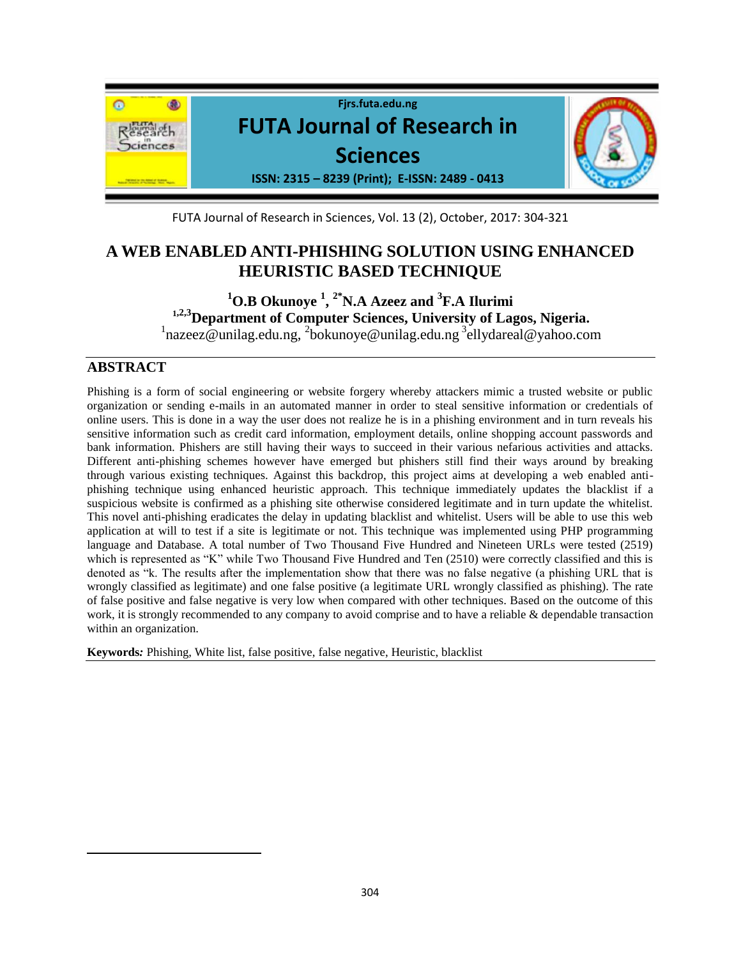

FUTA Journal of Research in Sciences, Vol. 13 (2), October, 2017: 304-321

# **A WEB ENABLED ANTI-PHISHING SOLUTION USING ENHANCED HEURISTIC BASED TECHNIQUE**

# **<sup>1</sup>O.B Okunoye <sup>1</sup> , 2\*N.A Azeez and <sup>3</sup> F.A Ilurimi <sup>1</sup>,2,3Department of Computer Sciences, University of Lagos, Nigeria.**

<sup>1</sup>nazeez@unilag.edu.ng, <sup>2</sup>[bokunoye@unilag.edu.ng](mailto:2bokunoye@unilag.edu.ng)<sup>3</sup>ellydareal@yahoo.com

## **ABSTRACT**

 $\overline{\phantom{a}}$ 

Phishing is a form of social engineering or website forgery whereby attackers mimic a trusted website or public organization or sending e-mails in an automated manner in order to steal sensitive information or credentials of online users. This is done in a way the user does not realize he is in a phishing environment and in turn reveals his sensitive information such as credit card information, employment details, online shopping account passwords and bank information. Phishers are still having their ways to succeed in their various nefarious activities and attacks. Different anti-phishing schemes however have emerged but phishers still find their ways around by breaking through various existing techniques. Against this backdrop, this project aims at developing a web enabled antiphishing technique using enhanced heuristic approach. This technique immediately updates the blacklist if a suspicious website is confirmed as a phishing site otherwise considered legitimate and in turn update the whitelist. This novel anti-phishing eradicates the delay in updating blacklist and whitelist. Users will be able to use this web application at will to test if a site is legitimate or not. This technique was implemented using PHP programming language and Database. A total number of Two Thousand Five Hundred and Nineteen URLs were tested (2519) which is represented as "K" while Two Thousand Five Hundred and Ten (2510) were correctly classified and this is denoted as "k. The results after the implementation show that there was no false negative (a phishing URL that is wrongly classified as legitimate) and one false positive (a legitimate URL wrongly classified as phishing). The rate of false positive and false negative is very low when compared with other techniques. Based on the outcome of this work, it is strongly recommended to any company to avoid comprise and to have a reliable & dependable transaction within an organization.

**Keywords***:* Phishing, White list, false positive, false negative, Heuristic, blacklist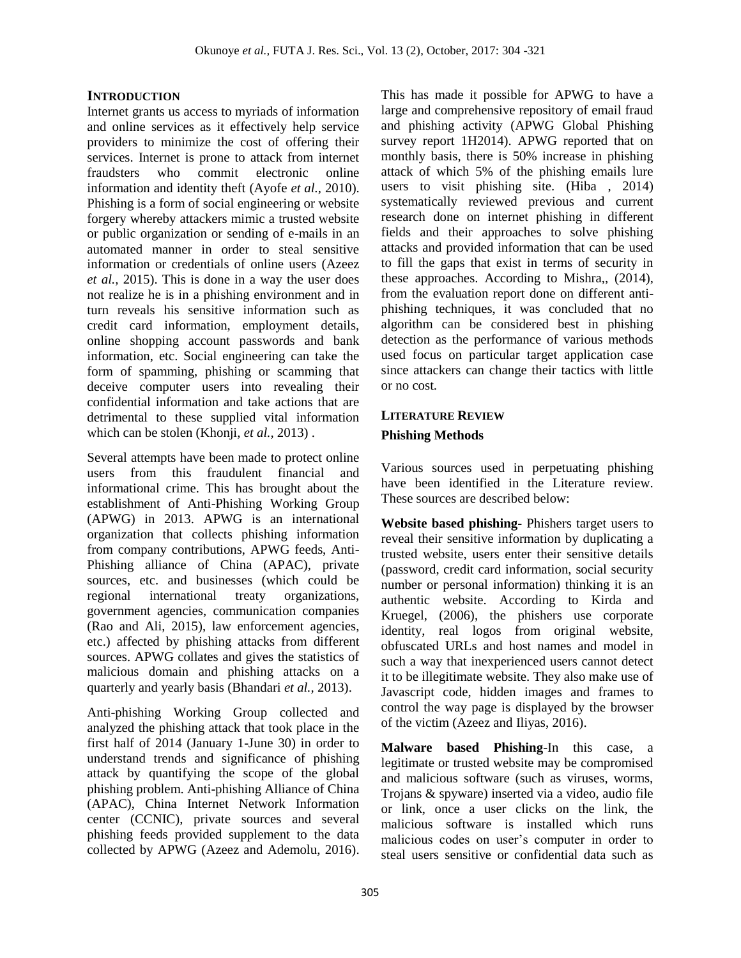## **INTRODUCTION**

Internet grants us access to myriads of information and online services as it effectively help service providers to minimize the cost of offering their services. Internet is prone to attack from internet fraudsters who commit electronic online information and identity theft (Ayofe *et al.,* 2010). Phishing is a form of social engineering or website forgery whereby attackers mimic a trusted website or public organization or sending of e-mails in an automated manner in order to steal sensitive information or credentials of online users (Azeez *et al.,* 2015). This is done in a way the user does not realize he is in a phishing environment and in turn reveals his sensitive information such as credit card information, employment details, online shopping account passwords and bank information, etc. Social engineering can take the form of spamming, phishing or scamming that deceive computer users into revealing their confidential information and take actions that are detrimental to these supplied vital information which can be stolen (Khonji, *et al.,* 2013) .

Several attempts have been made to protect online users from this fraudulent financial and informational crime. This has brought about the establishment of Anti-Phishing Working Group (APWG) in 2013. APWG is an international organization that collects phishing information from company contributions, APWG feeds, Anti-Phishing alliance of China (APAC), private sources, etc. and businesses (which could be regional international treaty organizations, government agencies, communication companies (Rao and Ali, 2015), law enforcement agencies, etc.) affected by phishing attacks from different sources. APWG collates and gives the statistics of malicious domain and phishing attacks on a quarterly and yearly basis (Bhandari *et al.,* 2013).

Anti-phishing Working Group collected and analyzed the phishing attack that took place in the first half of 2014 (January 1-June 30) in order to understand trends and significance of phishing attack by quantifying the scope of the global phishing problem. Anti-phishing Alliance of China (APAC), China Internet Network Information center (CCNIC), private sources and several phishing feeds provided supplement to the data collected by APWG (Azeez and Ademolu, 2016).

This has made it possible for APWG to have a large and comprehensive repository of email fraud and phishing activity (APWG Global Phishing survey report 1H2014). APWG reported that on monthly basis, there is 50% increase in phishing attack of which 5% of the phishing emails lure users to visit phishing site. (Hiba , 2014) systematically reviewed previous and current research done on internet phishing in different fields and their approaches to solve phishing attacks and provided information that can be used to fill the gaps that exist in terms of security in these approaches. According to Mishra,, (2014), from the evaluation report done on different antiphishing techniques, it was concluded that no algorithm can be considered best in phishing detection as the performance of various methods used focus on particular target application case since attackers can change their tactics with little or no cost.

## **LITERATURE REVIEW Phishing Methods**

Various sources used in perpetuating phishing have been identified in the Literature review. These sources are described below:

**Website based phishing-** Phishers target users to reveal their sensitive information by duplicating a trusted website, users enter their sensitive details (password, credit card information, social security number or personal information) thinking it is an authentic website. According to Kirda and Kruegel, (2006), the phishers use corporate identity, real logos from original website, obfuscated URLs and host names and model in such a way that inexperienced users cannot detect it to be illegitimate website. They also make use of Javascript code, hidden images and frames to control the way page is displayed by the browser of the victim (Azeez and Iliyas, 2016).

**Malware based Phishing**-In this case, a legitimate or trusted website may be compromised and malicious software (such as viruses, worms, Trojans & spyware) inserted via a video, audio file or link, once a user clicks on the link, the malicious software is installed which runs malicious codes on user's computer in order to steal users sensitive or confidential data such as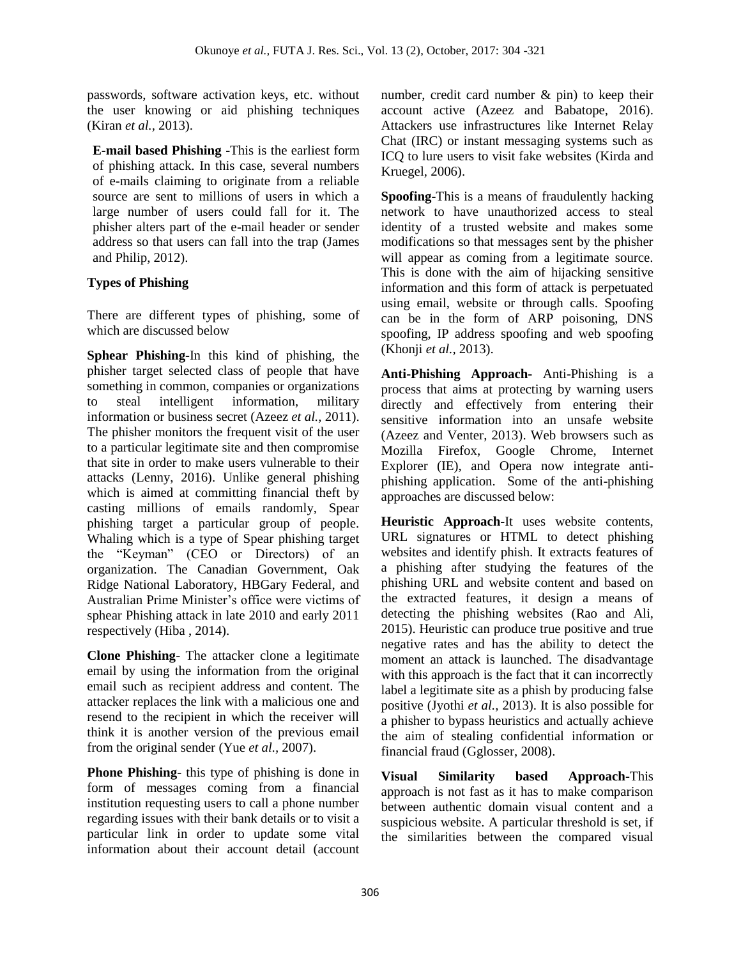passwords, software activation keys, etc. without the user knowing or aid phishing techniques (Kiran *et al.,* 2013).

**E-mail based Phishing -**This is the earliest form of phishing attack. In this case, several numbers of e-mails claiming to originate from a reliable source are sent to millions of users in which a large number of users could fall for it. The phisher alters part of the e-mail header or sender address so that users can fall into the trap (James and Philip, 2012).

## **Types of Phishing**

There are different types of phishing, some of which are discussed below

**Sphear Phishing-**In this kind of phishing, the phisher target selected class of people that have something in common, companies or organizations to steal intelligent information, military information or business secret (Azeez *et al.,* 2011). The phisher monitors the frequent visit of the user to a particular legitimate site and then compromise that site in order to make users vulnerable to their attacks (Lenny, 2016). Unlike general phishing which is aimed at committing financial theft by casting millions of emails randomly, Spear phishing target a particular group of people. Whaling which is a type of Spear phishing target the "Keyman" (CEO or Directors) of an organization. The Canadian Government, Oak Ridge National Laboratory, HBGary Federal, and Australian Prime Minister's office were victims of sphear Phishing attack in late 2010 and early 2011 respectively (Hiba , 2014).

**Clone Phishing**- The attacker clone a legitimate email by using the information from the original email such as recipient address and content. The attacker replaces the link with a malicious one and resend to the recipient in which the receiver will think it is another version of the previous email from the original sender (Yue *et al.,* 2007).

**Phone Phishing**- this type of phishing is done in form of messages coming from a financial institution requesting users to call a phone number regarding issues with their bank details or to visit a particular link in order to update some vital information about their account detail (account number, credit card number & pin) to keep their account active (Azeez and Babatope, 2016). Attackers use infrastructures like Internet Relay Chat (IRC) or instant messaging systems such as ICQ to lure users to visit fake websites (Kirda and Kruegel, 2006).

**Spoofing-**This is a means of fraudulently hacking network to have unauthorized access to steal identity of a trusted website and makes some modifications so that messages sent by the phisher will appear as coming from a legitimate source. This is done with the aim of hijacking sensitive information and this form of attack is perpetuated using email, website or through calls. Spoofing can be in the form of ARP poisoning, DNS spoofing, IP address spoofing and web spoofing (Khonji *et al.,* 2013).

**Anti-Phishing Approach-** Anti-Phishing is a process that aims at protecting by warning users directly and effectively from entering their sensitive information into an unsafe website (Azeez and Venter, 2013). Web browsers such as Mozilla Firefox, Google Chrome, Internet Explorer (IE), and Opera now integrate antiphishing application. Some of the anti-phishing approaches are discussed below:

**Heuristic Approach-**It uses website contents, URL signatures or HTML to detect phishing websites and identify phish. It extracts features of a phishing after studying the features of the phishing URL and website content and based on the extracted features, it design a means of detecting the phishing websites (Rao and Ali, 2015). Heuristic can produce true positive and true negative rates and has the ability to detect the moment an attack is launched. The disadvantage with this approach is the fact that it can incorrectly label a legitimate site as a phish by producing false positive (Jyothi *et al.,* 2013). It is also possible for a phisher to bypass heuristics and actually achieve the aim of stealing confidential information or financial fraud (Gglosser, 2008).

**Visual Similarity based Approach-**This approach is not fast as it has to make comparison between authentic domain visual content and a suspicious website. A particular threshold is set, if the similarities between the compared visual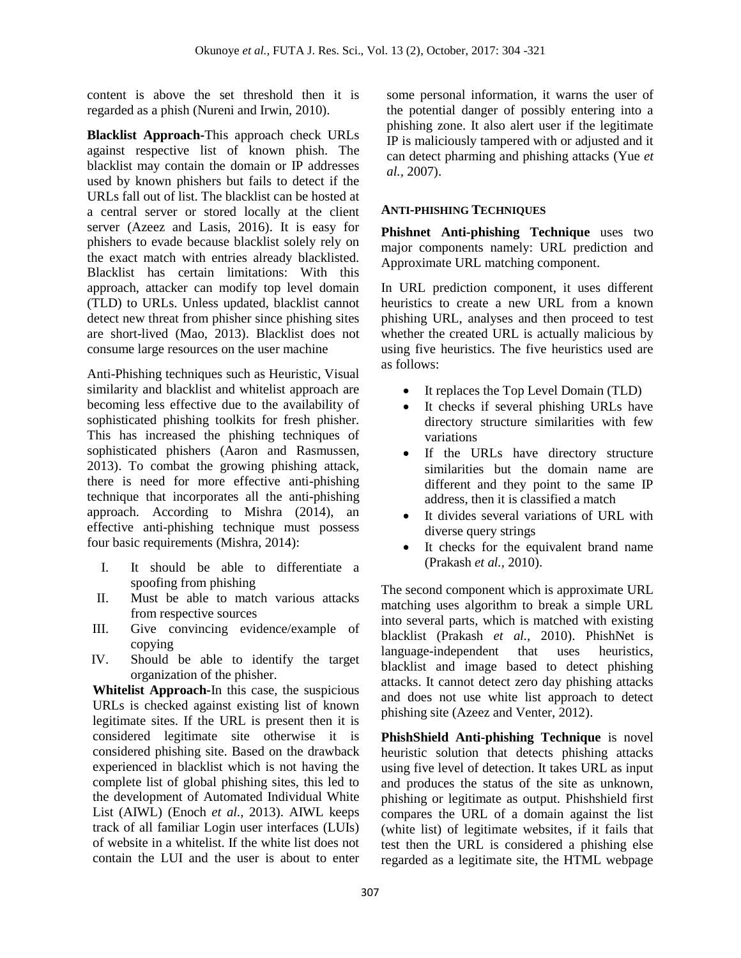content is above the set threshold then it is regarded as a phish (Nureni and Irwin, 2010).

**Blacklist Approach-**This approach check URLs against respective list of known phish. The blacklist may contain the domain or IP addresses used by known phishers but fails to detect if the URLs fall out of list. The blacklist can be hosted at a central server or stored locally at the client server (Azeez and Lasis, 2016). It is easy for phishers to evade because blacklist solely rely on the exact match with entries already blacklisted. Blacklist has certain limitations: With this approach, attacker can modify top level domain (TLD) to URLs. Unless updated, blacklist cannot detect new threat from phisher since phishing sites are short-lived (Mao, 2013). Blacklist does not consume large resources on the user machine

Anti-Phishing techniques such as Heuristic, Visual similarity and blacklist and whitelist approach are becoming less effective due to the availability of sophisticated phishing toolkits for fresh phisher. This has increased the phishing techniques of sophisticated phishers (Aaron and Rasmussen, 2013). To combat the growing phishing attack, there is need for more effective anti-phishing technique that incorporates all the anti-phishing approach. According to Mishra (2014), an effective anti-phishing technique must possess four basic requirements (Mishra, 2014):

- I. It should be able to differentiate a spoofing from phishing
- II. Must be able to match various attacks from respective sources
- III. Give convincing evidence/example of copying
- IV. Should be able to identify the target organization of the phisher.

**Whitelist Approach-**In this case, the suspicious URLs is checked against existing list of known legitimate sites. If the URL is present then it is considered legitimate site otherwise it is considered phishing site. Based on the drawback experienced in blacklist which is not having the complete list of global phishing sites, this led to the development of Automated Individual White List (AIWL) (Enoch *et al.,* 2013). AIWL keeps track of all familiar Login user interfaces (LUIs) of website in a whitelist. If the white list does not contain the LUI and the user is about to enter

some personal information, it warns the user of the potential danger of possibly entering into a phishing zone. It also alert user if the legitimate IP is maliciously tampered with or adjusted and it can detect pharming and phishing attacks (Yue *et al.,* 2007).

## **ANTI-PHISHING TECHNIQUES**

**Phishnet Anti-phishing Technique** uses two major components namely: URL prediction and Approximate URL matching component.

In URL prediction component, it uses different heuristics to create a new URL from a known phishing URL, analyses and then proceed to test whether the created URL is actually malicious by using five heuristics. The five heuristics used are as follows:

- It replaces the Top Level Domain (TLD)
- It checks if several phishing URLs have directory structure similarities with few variations
- If the URLs have directory structure similarities but the domain name are different and they point to the same IP address, then it is classified a match
- It divides several variations of URL with diverse query strings
- It checks for the equivalent brand name (Prakash *et al.,* 2010).

The second component which is approximate URL matching uses algorithm to break a simple URL into several parts, which is matched with existing blacklist (Prakash *et al.,* 2010). PhishNet is language-independent that uses heuristics, blacklist and image based to detect phishing attacks. It cannot detect zero day phishing attacks and does not use white list approach to detect phishing site (Azeez and Venter, 2012).

**PhishShield Anti-phishing Technique** is novel heuristic solution that detects phishing attacks using five level of detection. It takes URL as input and produces the status of the site as unknown, phishing or legitimate as output. Phishshield first compares the URL of a domain against the list (white list) of legitimate websites, if it fails that test then the URL is considered a phishing else regarded as a legitimate site, the HTML webpage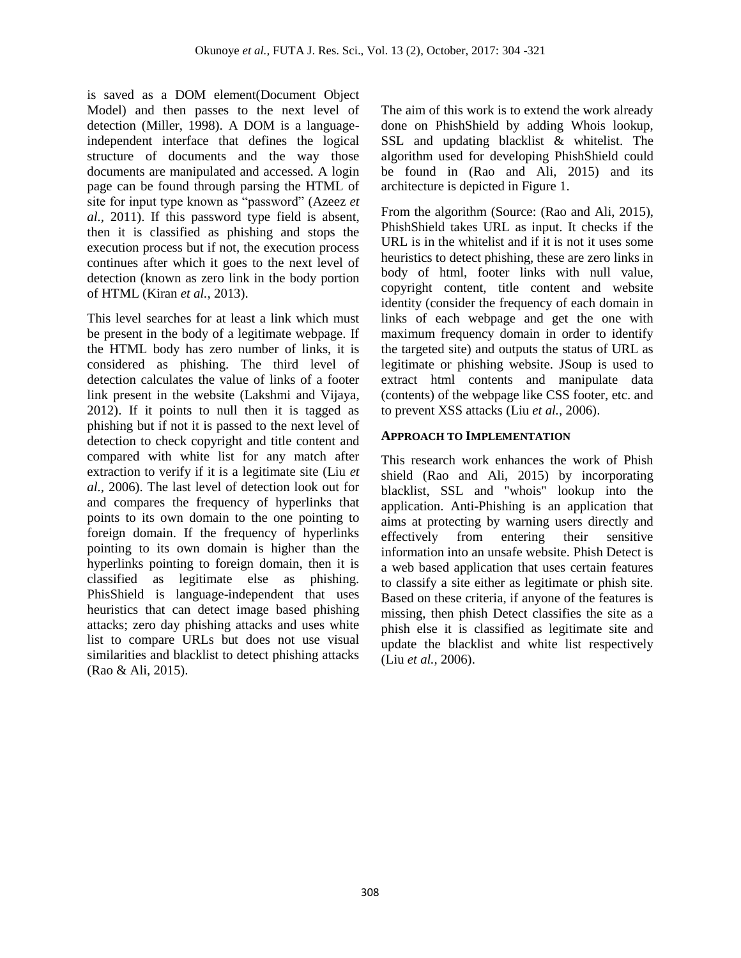is saved as a DOM element(Document Object Model) and then passes to the next level of detection (Miller, 1998). A DOM is a languageindependent interface that defines the logical structure of documents and the way those documents are manipulated and accessed. A login page can be found through parsing the HTML of site for input type known as "password" (Azeez *et al.,* 2011). If this password type field is absent, then it is classified as phishing and stops the execution process but if not, the execution process continues after which it goes to the next level of detection (known as zero link in the body portion of HTML (Kiran *et al.,* 2013).

This level searches for at least a link which must be present in the body of a legitimate webpage. If the HTML body has zero number of links, it is considered as phishing. The third level of detection calculates the value of links of a footer link present in the website (Lakshmi and Vijaya, 2012). If it points to null then it is tagged as phishing but if not it is passed to the next level of detection to check copyright and title content and compared with white list for any match after extraction to verify if it is a legitimate site (Liu *et al.,* 2006). The last level of detection look out for and compares the frequency of hyperlinks that points to its own domain to the one pointing to foreign domain. If the frequency of hyperlinks pointing to its own domain is higher than the hyperlinks pointing to foreign domain, then it is classified as legitimate else as phishing. PhisShield is language-independent that uses heuristics that can detect image based phishing attacks; zero day phishing attacks and uses white list to compare URLs but does not use visual similarities and blacklist to detect phishing attacks (Rao & Ali, 2015).

The aim of this work is to extend the work already done on PhishShield by adding Whois lookup, SSL and updating blacklist & whitelist. The algorithm used for developing PhishShield could be found in (Rao and Ali, 2015) and its architecture is depicted in Figure 1.

From the algorithm (Source: (Rao and Ali, 2015), PhishShield takes URL as input. It checks if the URL is in the whitelist and if it is not it uses some heuristics to detect phishing, these are zero links in body of html, footer links with null value, copyright content, title content and website identity (consider the frequency of each domain in links of each webpage and get the one with maximum frequency domain in order to identify the targeted site) and outputs the status of URL as legitimate or phishing website. JSoup is used to extract html contents and manipulate data (contents) of the webpage like CSS footer, etc. and to prevent XSS attacks (Liu *et al.,* 2006).

## **APPROACH TO IMPLEMENTATION**

This research work enhances the work of Phish shield (Rao and Ali, 2015) by incorporating blacklist, SSL and "whois" lookup into the application. Anti-Phishing is an application that aims at protecting by warning users directly and effectively from entering their sensitive information into an unsafe website. Phish Detect is a web based application that uses certain features to classify a site either as legitimate or phish site. Based on these criteria, if anyone of the features is missing, then phish Detect classifies the site as a phish else it is classified as legitimate site and update the blacklist and white list respectively (Liu *et al.,* 2006).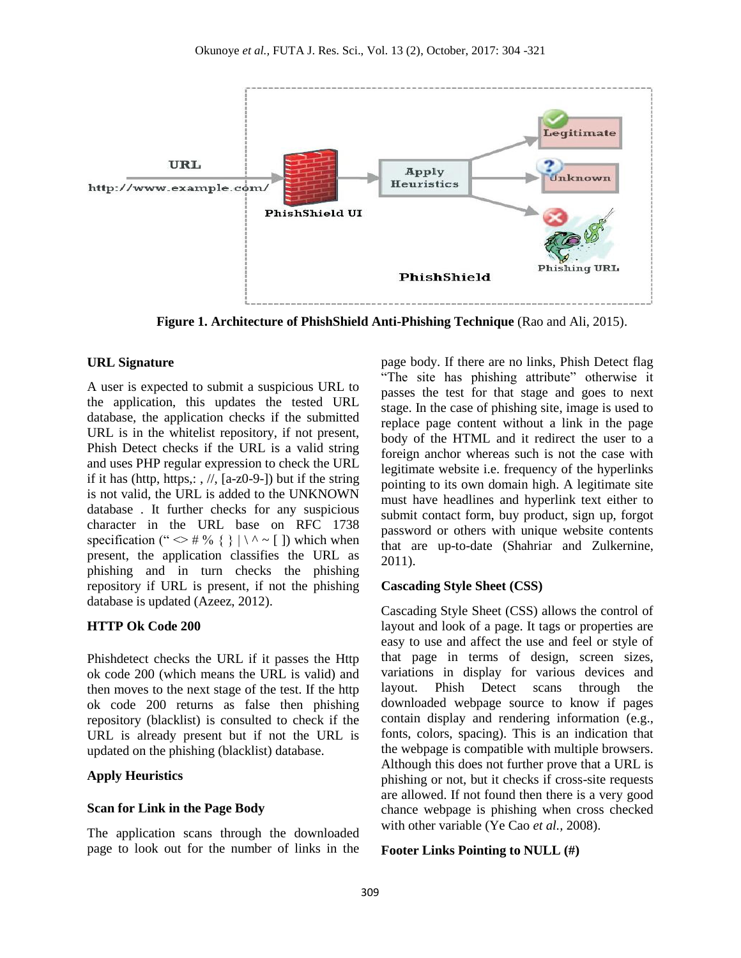

**Figure 1. Architecture of PhishShield Anti-Phishing Technique** (Rao and Ali, 2015).

### **URL Signature**

A user is expected to submit a suspicious URL to the application, this updates the tested URL database, the application checks if the submitted URL is in the whitelist repository, if not present, Phish Detect checks if the URL is a valid string and uses PHP regular expression to check the URL if it has (http, https,:  $\frac{1}{2}$ ,  $\frac{1}{2}$ , [a-z0-9-]) but if the string is not valid, the URL is added to the UNKNOWN database . It further checks for any suspicious character in the URL base on RFC 1738 specification ("  $\iff$  # % { } | \ ^ ~ [ ]) which when present, the application classifies the URL as phishing and in turn checks the phishing repository if URL is present, if not the phishing database is updated (Azeez, 2012).

## **HTTP Ok Code 200**

Phishdetect checks the URL if it passes the Http ok code 200 (which means the URL is valid) and then moves to the next stage of the test. If the http ok code 200 returns as false then phishing repository (blacklist) is consulted to check if the URL is already present but if not the URL is updated on the phishing (blacklist) database.

## **Apply Heuristics**

### **Scan for Link in the Page Body**

The application scans through the downloaded page to look out for the number of links in the page body. If there are no links, Phish Detect flag "The site has phishing attribute" otherwise it passes the test for that stage and goes to next stage. In the case of phishing site, image is used to replace page content without a link in the page body of the HTML and it redirect the user to a foreign anchor whereas such is not the case with legitimate website i.e. frequency of the hyperlinks pointing to its own domain high. A legitimate site must have headlines and hyperlink text either to submit contact form, buy product, sign up, forgot password or others with unique website contents that are up-to-date (Shahriar and Zulkernine, 2011).

### **Cascading Style Sheet (CSS)**

Cascading Style Sheet (CSS) allows the control of layout and look of a page. It tags or properties are easy to use and affect the use and feel or style of that page in terms of design, screen sizes, variations in display for various devices and layout. Phish Detect scans through the downloaded webpage source to know if pages contain display and rendering information (e.g., fonts, colors, spacing). This is an indication that the webpage is compatible with multiple browsers. Although this does not further prove that a URL is phishing or not, but it checks if cross-site requests are allowed. If not found then there is a very good chance webpage is phishing when cross checked with other variable (Ye Cao *et al.,* 2008).

### **Footer Links Pointing to NULL (#)**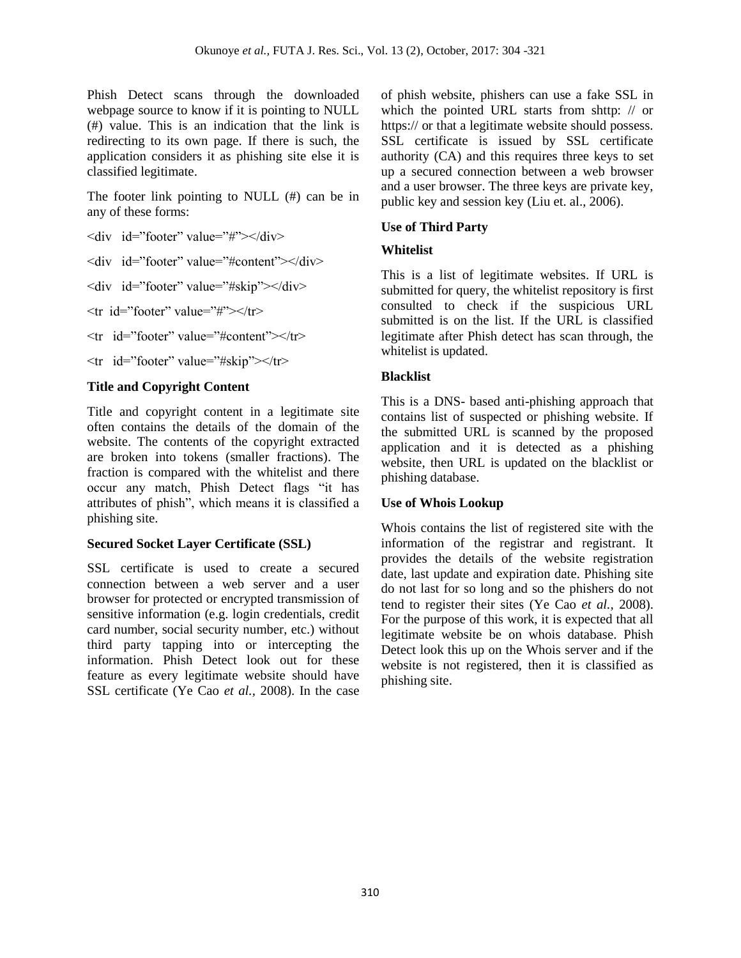Phish Detect scans through the downloaded webpage source to know if it is pointing to NULL (#) value. This is an indication that the link is redirecting to its own page. If there is such, the application considers it as phishing site else it is classified legitimate.

The footer link pointing to NULL (#) can be in any of these forms:

<div id="footer" value="#"></div>

<div id="footer" value="#content"></div>

<div id="footer" value="#skip"></div>

 $\langle \text{tr } \text{id} = \text{``footer''} \text{ value} = \text{``} \# \text{''} \rangle \langle \text{tr} \rangle$ 

<tr id="footer" value="#content"></tr>

 $\langle tr \rangle$  id="footer" value="#skip"> $\langle tr \rangle$ 

## **Title and Copyright Content**

Title and copyright content in a legitimate site often contains the details of the domain of the website. The contents of the copyright extracted are broken into tokens (smaller fractions). The fraction is compared with the whitelist and there occur any match, Phish Detect flags "it has attributes of phish", which means it is classified a phishing site.

## **Secured Socket Layer Certificate (SSL)**

SSL certificate is used to create a secured connection between a web server and a user browser for protected or encrypted transmission of sensitive information (e.g. login credentials, credit card number, social security number, etc.) without third party tapping into or intercepting the information. Phish Detect look out for these feature as every legitimate website should have SSL certificate (Ye Cao *et al.,* 2008). In the case of phish website, phishers can use a fake SSL in which the pointed URL starts from shttp: // or https:// or that a legitimate website should possess. SSL certificate is issued by SSL certificate authority (CA) and this requires three keys to set up a secured connection between a web browser and a user browser. The three keys are private key, public key and session key (Liu et. al., 2006).

## **Use of Third Party**

## **Whitelist**

This is a list of legitimate websites. If URL is submitted for query, the whitelist repository is first consulted to check if the suspicious URL submitted is on the list. If the URL is classified legitimate after Phish detect has scan through, the whitelist is updated.

## **Blacklist**

This is a DNS- based anti-phishing approach that contains list of suspected or phishing website. If the submitted URL is scanned by the proposed application and it is detected as a phishing website, then URL is updated on the blacklist or phishing database.

## **Use of Whois Lookup**

Whois contains the list of registered site with the information of the registrar and registrant. It provides the details of the website registration date, last update and expiration date. Phishing site do not last for so long and so the phishers do not tend to register their sites (Ye Cao *et al.,* 2008). For the purpose of this work, it is expected that all legitimate website be on whois database. Phish Detect look this up on the Whois server and if the website is not registered, then it is classified as phishing site.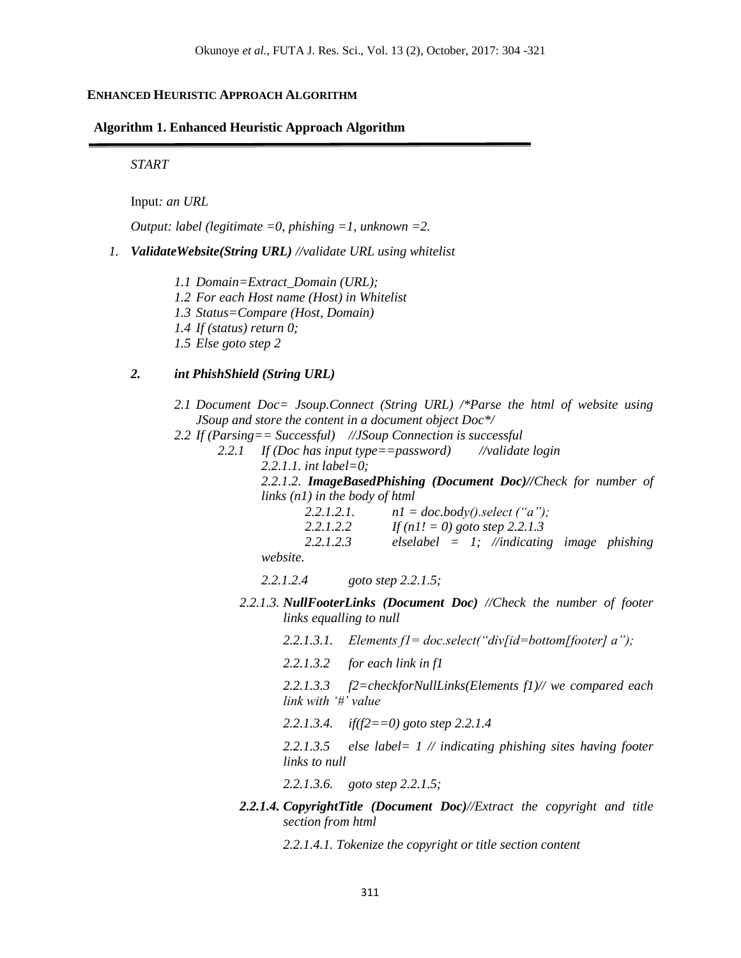### **ENHANCED HEURISTIC APPROACH ALGORITHM**

#### **Algorithm 1. Enhanced Heuristic Approach Algorithm**

*START*

Input*: an URL*

*Output: label (legitimate =0, phishing =1, unknown =2.*

- *1. ValidateWebsite(String URL) //validate URL using whitelist*
	- *1.1 Domain=Extract\_Domain (URL); 1.2 For each Host name (Host) in Whitelist 1.3 Status=Compare (Host, Domain) 1.4 If (status) return 0; 1.5 Else goto step 2*

### *2. int PhishShield (String URL)*

- *2.1 Document Doc= Jsoup.Connect (String URL) /\*Parse the html of website using JSoup and store the content in a document object Doc\*/*
- *2.2 If (Parsing== Successful) //JSoup Connection is successful*
	- *2.2.1 If (Doc has input type==password) //validate login 2.2.1.1. int label=0;*

*2.2.1.2. ImageBasedPhishing (Document Doc)//Check for number of links (n1) in the body of html*

| 2.2.1.2.1.      | $n1 = doc-body().select('a');$                |  |
|-----------------|-----------------------------------------------|--|
| 2.2.1.2.2       | If $(n! = 0)$ goto step 2.2.1.3               |  |
| 2.2.1.2.3       | elselabel = $1$ ; //indicating image phishing |  |
| <i>website.</i> |                                               |  |

*2.2.1.2.4 goto step 2.2.1.5;*

- *2.2.1.3. NullFooterLinks (Document Doc) //Check the number of footer links equalling to null*
	- *2.2.1.3.1. Elements f1= doc.select("div[id=bottom[footer] a");*

*2.2.1.3.2 for each link in f1*

*2.2.1.3.3 f2=checkforNullLinks(Elements f1)// we compared each link with '#' value*

*2.2.1.3.4. if(f2==0) goto step 2.2.1.4*

*2.2.1.3.5 else label= 1 // indicating phishing sites having footer links to null*

*2.2.1.3.6. goto step 2.2.1.5;*

*2.2.1.4. CopyrightTitle (Document Doc)//Extract the copyright and title section from html*

*2.2.1.4.1. Tokenize the copyright or title section content*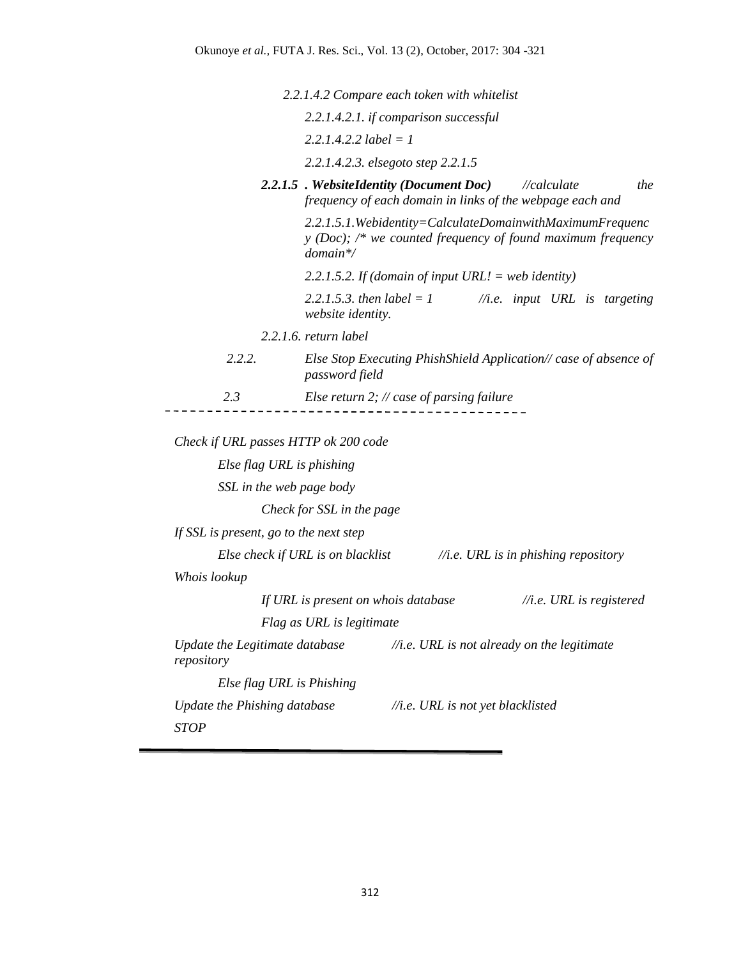*2.2.1.4.2 Compare each token with whitelist*

|                                        |                                   | 2.2.1.4.2.1. if comparison successful                                                                                      |                                                 |                                     |
|----------------------------------------|-----------------------------------|----------------------------------------------------------------------------------------------------------------------------|-------------------------------------------------|-------------------------------------|
|                                        | $2.2.1.4.2.2$ label = 1           |                                                                                                                            |                                                 |                                     |
|                                        |                                   | 2.2.1.4.2.3. elsegoto step 2.2.1.5                                                                                         |                                                 |                                     |
|                                        |                                   | 2.2.1.5 . WebsiteIdentity (Document Doc)<br>frequency of each domain in links of the webpage each and                      | //calculate                                     | the                                 |
|                                        | $domain*$                         | 2.2.1.5.1. Webidentity=CalculateDomainwithMaximumFrequenc<br>$y$ (Doc); /* we counted frequency of found maximum frequency |                                                 |                                     |
|                                        |                                   | 2.2.1.5.2. If (domain of input URL! = web identity)                                                                        |                                                 |                                     |
|                                        | website identity.                 | 2.2.1.5.3. then $label = 1$                                                                                                | $//i.e.$ input URL is targeting                 |                                     |
|                                        | $2.2.1.6$ . return label          |                                                                                                                            |                                                 |                                     |
| 2.2.2.                                 | password field                    | Else Stop Executing PhishShield Application// case of absence of                                                           |                                                 |                                     |
| 2.3                                    |                                   | Else return 2; $\#$ case of parsing failure                                                                                |                                                 |                                     |
|                                        |                                   |                                                                                                                            |                                                 |                                     |
| Check if URL passes HTTP ok 200 code   |                                   |                                                                                                                            |                                                 |                                     |
| Else flag URL is phishing              |                                   |                                                                                                                            |                                                 |                                     |
| SSL in the web page body               |                                   |                                                                                                                            |                                                 |                                     |
|                                        | Check for SSL in the page         |                                                                                                                            |                                                 |                                     |
| If SSL is present, go to the next step |                                   |                                                                                                                            |                                                 |                                     |
|                                        | Else check if URL is on blacklist |                                                                                                                            | $//i.e. \textit{URL}$ is in phishing repository |                                     |
| Whois lookup                           |                                   |                                                                                                                            |                                                 |                                     |
|                                        |                                   | If URL is present on whois database                                                                                        |                                                 | $//i.e. \textit{URL}$ is registered |
|                                        | Flag as URL is legitimate         |                                                                                                                            |                                                 |                                     |
| repository                             |                                   | Update the Legitimate database $\frac{1}{\pi}$ .e. URL is not already on the legitimate                                    |                                                 |                                     |
| Else flag URL is Phishing              |                                   |                                                                                                                            |                                                 |                                     |
| Update the Phishing database           |                                   | //i.e. URL is not yet blacklisted                                                                                          |                                                 |                                     |

*STOP*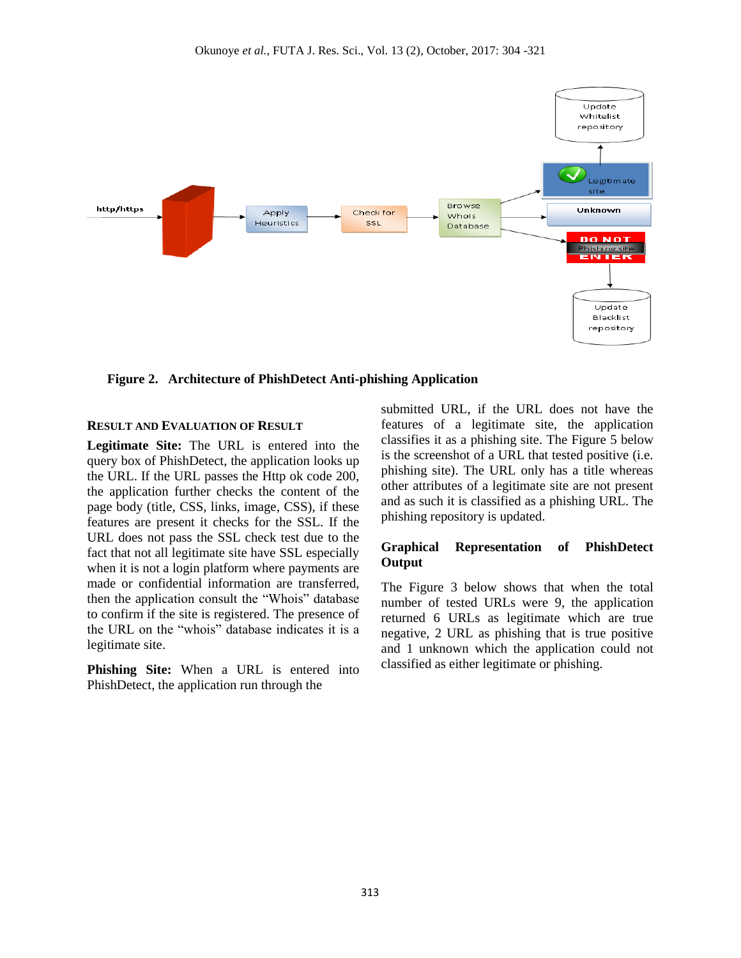

 **Figure 2. Architecture of PhishDetect Anti-phishing Application** 

### **RESULT AND EVALUATION OF RESULT**

**Legitimate Site:** The URL is entered into the query box of PhishDetect, the application looks up the URL. If the URL passes the Http ok code 200, the application further checks the content of the page body (title, CSS, links, image, CSS), if these features are present it checks for the SSL. If the URL does not pass the SSL check test due to the fact that not all legitimate site have SSL especially when it is not a login platform where payments are made or confidential information are transferred, then the application consult the "Whois" database to confirm if the site is registered. The presence of the URL on the "whois" database indicates it is a legitimate site.

**Phishing Site:** When a URL is entered into PhishDetect, the application run through the

submitted URL, if the URL does not have the features of a legitimate site, the application classifies it as a phishing site. The Figure 5 below is the screenshot of a URL that tested positive (i.e. phishing site). The URL only has a title whereas other attributes of a legitimate site are not present and as such it is classified as a phishing URL. The phishing repository is updated.

### **Graphical Representation of PhishDetect Output**

The Figure 3 below shows that when the total number of tested URLs were 9, the application returned 6 URLs as legitimate which are true negative, 2 URL as phishing that is true positive and 1 unknown which the application could not classified as either legitimate or phishing.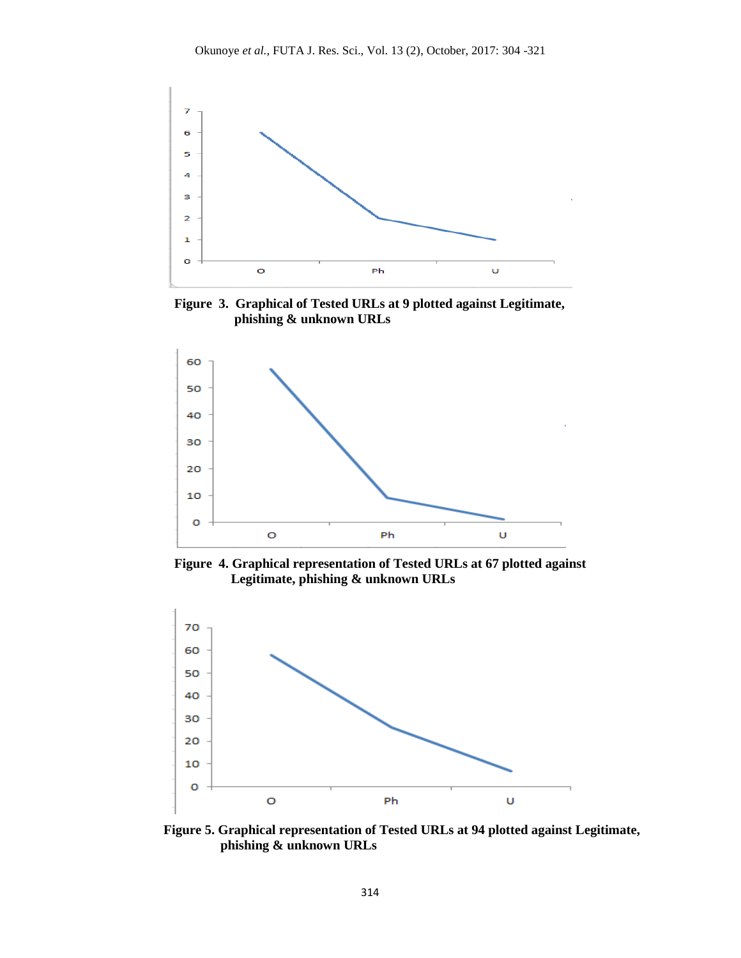

**Figure 3. Graphical of Tested URLs at 9 plotted against Legitimate, phishing & unknown URLs** 



**Figure 4. Graphical representation of Tested URLs at 67 plotted against Legitimate, phishing & unknown URLs** 



 **Figure 5. Graphical representation of Tested URLs at 94 plotted against Legitimate, phishing & unknown URLs**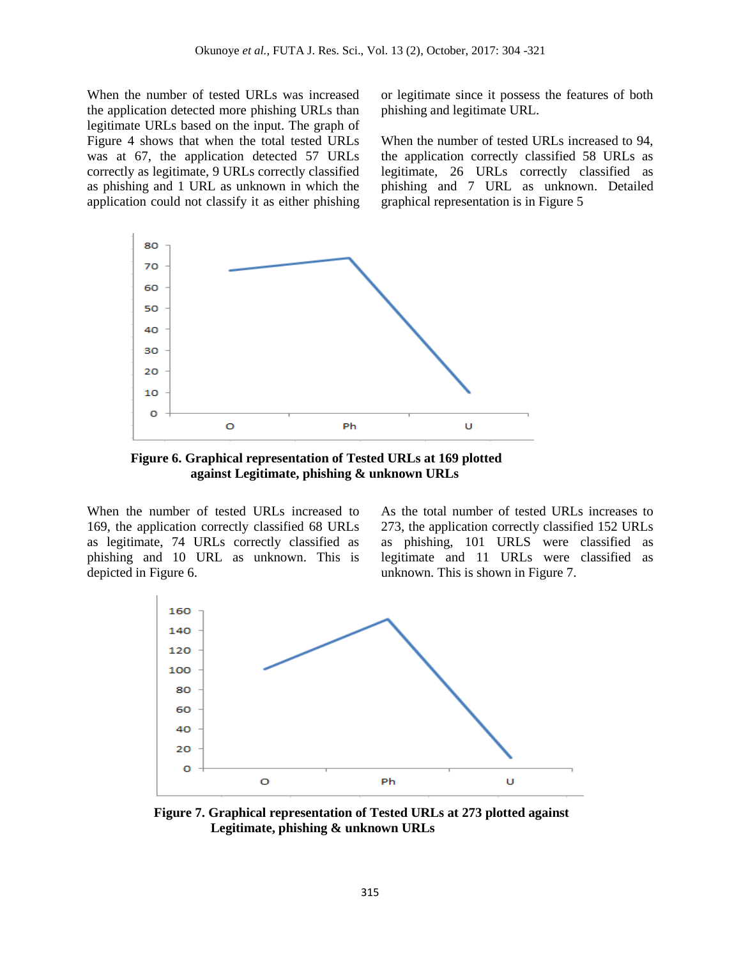When the number of tested URLs was increased the application detected more phishing URLs than legitimate URLs based on the input. The graph of Figure 4 shows that when the total tested URLs was at 67, the application detected 57 URLs correctly as legitimate, 9 URLs correctly classified as phishing and 1 URL as unknown in which the application could not classify it as either phishing or legitimate since it possess the features of both phishing and legitimate URL.

When the number of tested URLs increased to 94, the application correctly classified 58 URLs as legitimate, 26 URLs correctly classified as phishing and 7 URL as unknown. Detailed graphical representation is in Figure 5



**Figure 6. Graphical representation of Tested URLs at 169 plotted against Legitimate, phishing & unknown URLs** 

When the number of tested URLs increased to 169, the application correctly classified 68 URLs as legitimate, 74 URLs correctly classified as phishing and 10 URL as unknown. This is depicted in Figure 6.

As the total number of tested URLs increases to 273, the application correctly classified 152 URLs as phishing, 101 URLS were classified as legitimate and 11 URLs were classified as unknown. This is shown in Figure 7.



 **Figure 7. Graphical representation of Tested URLs at 273 plotted against Legitimate, phishing & unknown URLs**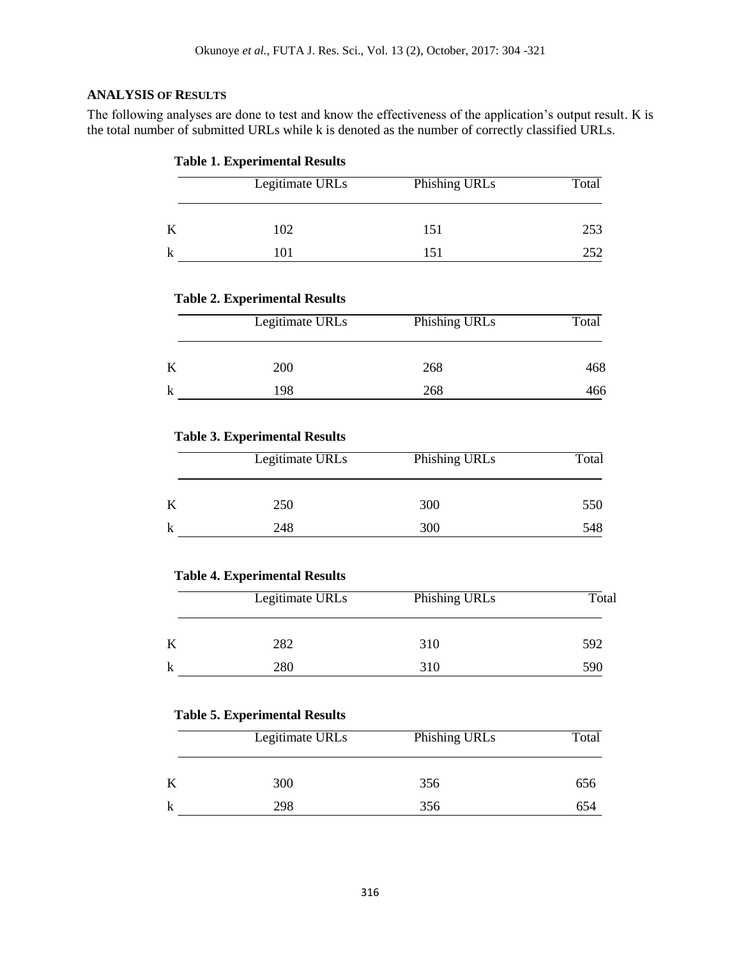## **ANALYSIS OF RESULTS**

The following analyses are done to test and know the effectiveness of the application's output result. K is the total number of submitted URLs while k is denoted as the number of correctly classified URLs.

## **Table 1. Experimental Results**

| Legitimate URLs | Phishing URLs | Total |
|-----------------|---------------|-------|
| 102             | 151           | 253   |
|                 | 151           | 252   |

### **Table 2. Experimental Results**

| Legitimate URLs | Phishing URLs | Total |
|-----------------|---------------|-------|
| 200             | 268           | 468   |
| 198             | 268           | 466   |

### **Table 3. Experimental Results**

| Legitimate URLs | Phishing URLs | Total |
|-----------------|---------------|-------|
| 250             | 300           | 550   |
| 248             | 300           | 548   |

### **Table 4. Experimental Results**

| Legitimate URLs | Phishing URLs | Total |
|-----------------|---------------|-------|
| 282             | 310           | 592   |
| 280             | 310           | 590   |

### **Table 5. Experimental Results**

| Legitimate URLs | Phishing URLs | Total |
|-----------------|---------------|-------|
| 300             | 356           | 656   |
| 298             | 356           | 654   |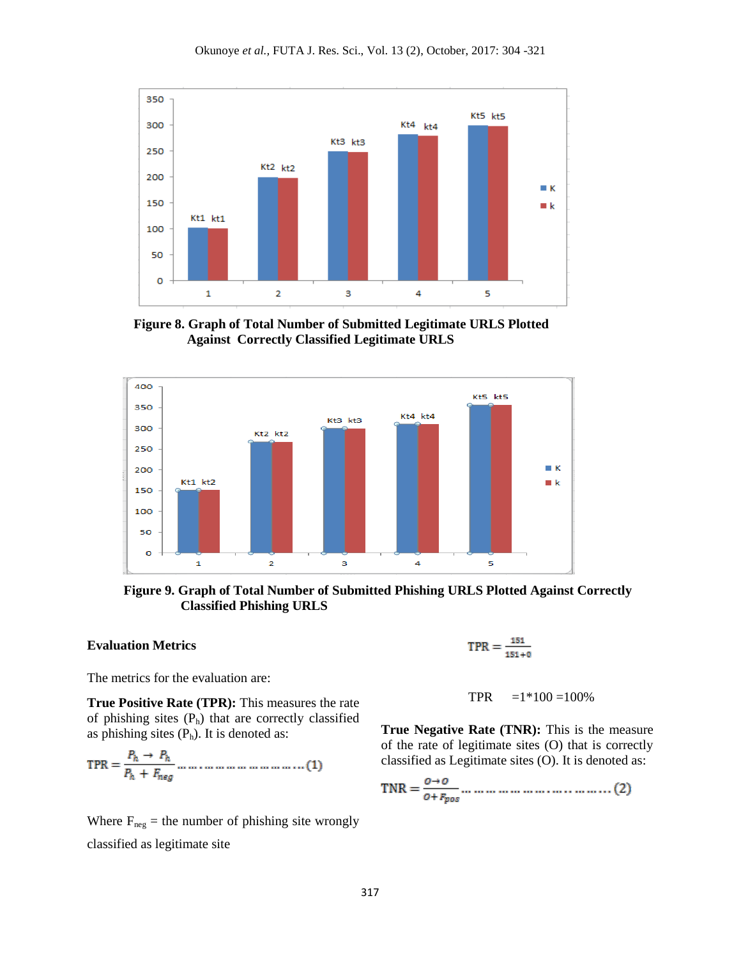

 **Figure 8. Graph of Total Number of Submitted Legitimate URLS Plotted Against Correctly Classified Legitimate URLS**



 **Figure 9. Graph of Total Number of Submitted Phishing URLS Plotted Against Correctly Classified Phishing URLS**

### **Evaluation Metrics**

The metrics for the evaluation are:

**True Positive Rate (TPR):** This measures the rate of phishing sites  $(P_h)$  that are correctly classified as phishing sites  $(P_h)$ . It is denoted as:

Where  $F_{\text{neg}}$  = the number of phishing site wrongly classified as legitimate site

$$
\text{TPR}=\tfrac{151}{151+0}
$$

#### TPR  $=1*100 = 100%$

**True Negative Rate (TNR):** This is the measure of the rate of legitimate sites (O) that is correctly classified as Legitimate sites (O). It is denoted as: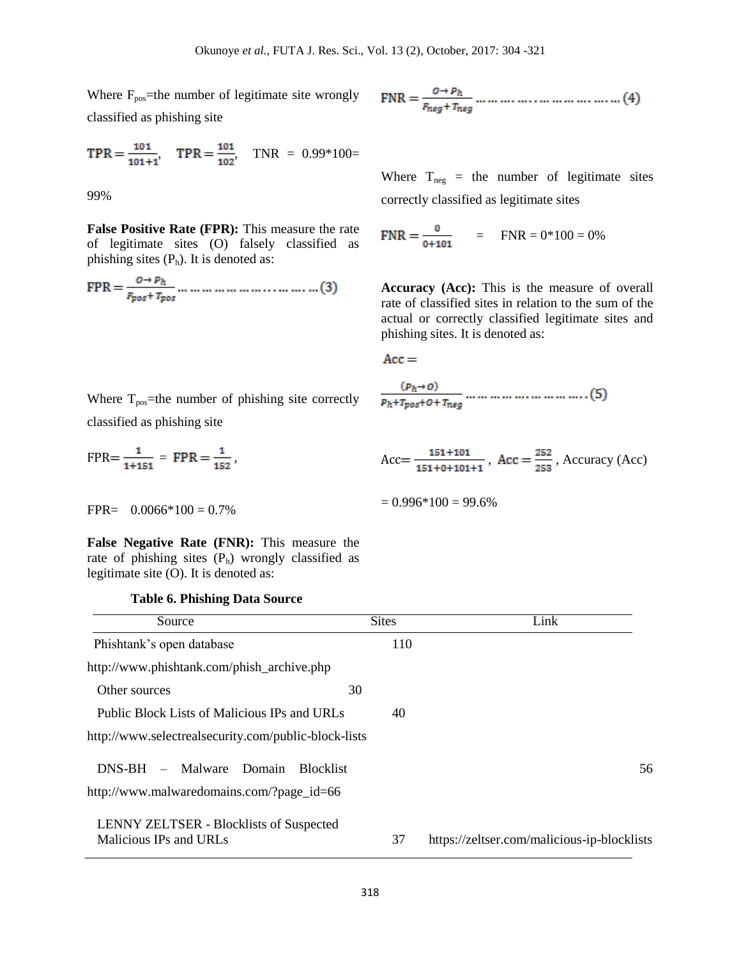Where  $F_{pos}$ =the number of legitimate site wrongly classified as phishing site

$$
TPR = \frac{101}{101+1}, \quad TPR = \frac{101}{102}, \quad TNR = 0.99*100 =
$$

99%

**False Positive Rate (FPR):** This measure the rate of legitimate sites (O) falsely classified as phishing sites  $(P_h)$ . It is denoted as:

$$
FPR = \frac{O \rightarrow P_h}{F_{pos} + T_{pos}} \dots \dots \dots \dots \dots \dots \dots \dots \dots \dots \dots (3)
$$

$$
FNR = \frac{0 \rightarrow p_h}{F_{neg} + T_{neg}} \dots \dots \dots \dots \dots \dots \dots \dots \dots \dots \dots (4)
$$

Where  $T_{\text{neg}}$  = the number of legitimate sites correctly classified as legitimate sites

$$
FNR = \frac{0}{0+101} = FNR = 0*100 = 0%
$$

**Accuracy (Acc):** This is the measure of overall rate of classified sites in relation to the sum of the actual or correctly classified legitimate sites and phishing sites. It is denoted as:

$$
Acc =
$$

 $= 0.996*100 = 99.6%$ 

$$
\frac{(p_h \rightarrow o)}{p_h + r_{pos} + o + r_{neg}} \dots \dots \dots \dots \dots \dots \dots \dots \dots \dots \dots (5)
$$

 $Acc = \frac{151 + 101}{151 + 0 + 101 + 1}$ ,  $Acc = \frac{252}{253}$ , Accuracy (Acc)

Where  $T_{pos}$ =the number of phishing site correctly classified as phishing site

$$
FPR = \frac{1}{1+151} = FPR = \frac{1}{152},
$$

 $FPR = 0.0066*100 = 0.7%$ 

**False Negative Rate (FNR):** This measure the rate of phishing sites  $(P_h)$  wrongly classified as legitimate site (O). It is denoted as:

### **Table 6. Phishing Data Source**

| Source                                                                                           | <b>Sites</b> | Link                                        |
|--------------------------------------------------------------------------------------------------|--------------|---------------------------------------------|
| Phishtank's open database                                                                        | 110          |                                             |
| http://www.phishtank.com/phish_archive.php                                                       |              |                                             |
| Other sources                                                                                    | 30           |                                             |
| Public Block Lists of Malicious IPs and URLs                                                     | 40           |                                             |
| http://www.selectrealsecurity.com/public-block-lists                                             |              |                                             |
| $DNS-BH -$<br>Malware<br>Domain<br><b>Blocklist</b><br>http://www.malwaredomains.com/?page_id=66 |              | 56                                          |
| <b>LENNY ZELTSER - Blocklists of Suspected</b><br>Malicious IPs and URLs                         | 37           | https://zeltser.com/malicious-ip-blocklists |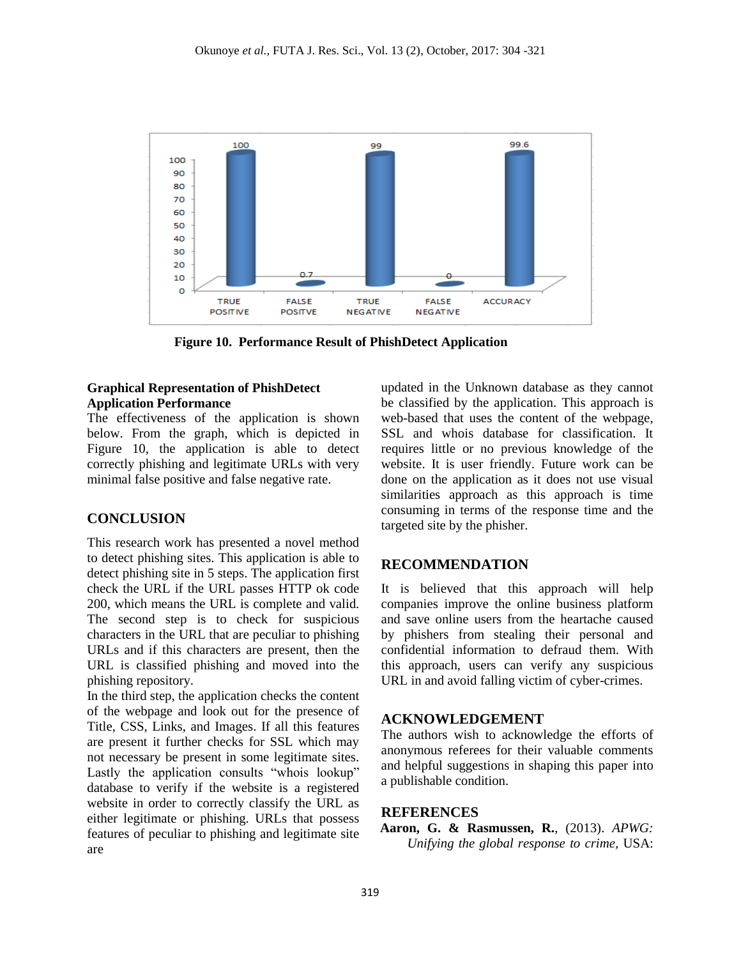

**Figure 10. Performance Result of PhishDetect Application**

## **Graphical Representation of PhishDetect Application Performance**

The effectiveness of the application is shown below. From the graph, which is depicted in Figure 10, the application is able to detect correctly phishing and legitimate URLs with very minimal false positive and false negative rate.

## **CONCLUSION**

This research work has presented a novel method to detect phishing sites. This application is able to detect phishing site in 5 steps. The application first check the URL if the URL passes HTTP ok code 200, which means the URL is complete and valid. The second step is to check for suspicious characters in the URL that are peculiar to phishing URLs and if this characters are present, then the URL is classified phishing and moved into the phishing repository.

In the third step, the application checks the content of the webpage and look out for the presence of Title, CSS, Links, and Images. If all this features are present it further checks for SSL which may not necessary be present in some legitimate sites. Lastly the application consults "whois lookup" database to verify if the website is a registered website in order to correctly classify the URL as either legitimate or phishing. URLs that possess features of peculiar to phishing and legitimate site are

updated in the Unknown database as they cannot be classified by the application. This approach is web-based that uses the content of the webpage, SSL and whois database for classification. It requires little or no previous knowledge of the website. It is user friendly. Future work can be done on the application as it does not use visual similarities approach as this approach is time consuming in terms of the response time and the targeted site by the phisher.

## **RECOMMENDATION**

It is believed that this approach will help companies improve the online business platform and save online users from the heartache caused by phishers from stealing their personal and confidential information to defraud them. With this approach, users can verify any suspicious URL in and avoid falling victim of cyber-crimes.

## **ACKNOWLEDGEMENT**

The authors wish to acknowledge the efforts of anonymous referees for their valuable comments and helpful suggestions in shaping this paper into a publishable condition.

## **REFERENCES**

**Aaron, G. & Rasmussen, R.**, (2013). *APWG: Unifying the global response to crime,* USA: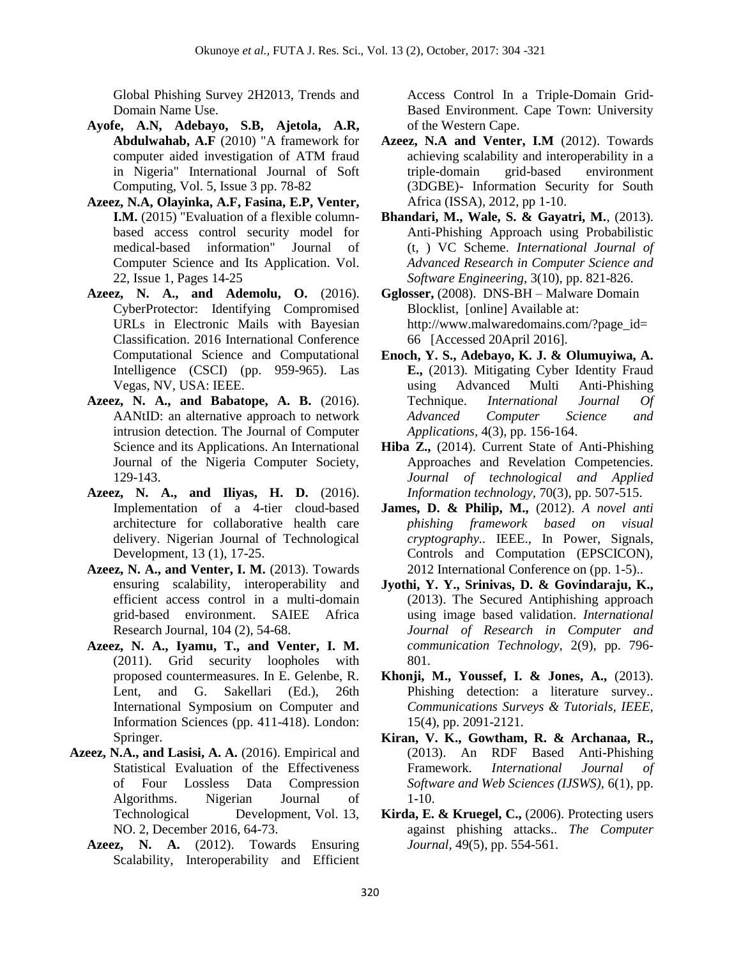Global Phishing Survey 2H2013, Trends and Domain Name Use.

- **Ayofe, A.N, Adebayo, S.B, Ajetola, A.R, Abdulwahab, A.F** (2010) "A framework for computer aided investigation of ATM fraud in Nigeria" International Journal of Soft Computing, Vol. 5, Issue 3 pp. 78-82
- **Azeez, N.A, Olayinka, A.F, Fasina, E.P, Venter, I.M.** (2015) "Evaluation of a flexible columnbased access control security model for medical-based information" Journal of Computer Science and Its Application. Vol. 22, Issue 1, Pages 14-25
- **Azeez, N. A., and Ademolu, O.** (2016). CyberProtector: Identifying Compromised URLs in Electronic Mails with Bayesian Classification. 2016 International Conference Computational Science and Computational Intelligence (CSCI) (pp. 959-965). Las Vegas, NV, USA: IEEE.
- **Azeez, N. A., and Babatope, A. B.** (2016). AANtID: an alternative approach to network intrusion detection. The Journal of Computer Science and its Applications. An International Journal of the Nigeria Computer Society, 129-143.
- **Azeez, N. A., and Iliyas, H. D.** (2016). Implementation of a 4-tier cloud-based architecture for collaborative health care delivery. Nigerian Journal of Technological Development, 13 (1), 17-25.
- **Azeez, N. A., and Venter, I. M.** (2013). Towards ensuring scalability, interoperability and efficient access control in a multi-domain grid-based environment. SAIEE Africa Research Journal, 104 (2), 54-68.
- **Azeez, N. A., Iyamu, T., and Venter, I. M.**  (2011). Grid security loopholes with proposed countermeasures. In E. Gelenbe, R. Lent, and G. Sakellari (Ed.), 26th International Symposium on Computer and Information Sciences (pp. 411-418). London: Springer.
- **Azeez, N.A., and Lasisi, A. A.** (2016). [Empirical and](https://www.ajol.info/index.php/njtd/article/view/152843)  [Statistical Evaluation of the Effectiveness](https://www.ajol.info/index.php/njtd/article/view/152843)  [of Four Lossless Data Compression](https://www.ajol.info/index.php/njtd/article/view/152843)  [Algorithms.](https://www.ajol.info/index.php/njtd/article/view/152843) Nigerian Journal of Technological Development, Vol. 13, NO. 2, December 2016, 64-73.
	- **Azeez, N. A.** (2012). Towards Ensuring Scalability, Interoperability and Efficient

Access Control In a Triple-Domain Grid-Based Environment. Cape Town: University of the Western Cape.

- **Azeez, N.A and Venter, I.M** (2012). [Towards](https://scholar.google.com/scholar?oi=bibs&cluster=3860228928836177813&btnI=1&hl=en)  [achieving scalability and interoperability in a](https://scholar.google.com/scholar?oi=bibs&cluster=3860228928836177813&btnI=1&hl=en)  [triple-domain grid-based environment](https://scholar.google.com/scholar?oi=bibs&cluster=3860228928836177813&btnI=1&hl=en)  [\(3DGBE\)-](https://scholar.google.com/scholar?oi=bibs&cluster=3860228928836177813&btnI=1&hl=en) Information Security for South Africa (ISSA), 2012, pp 1-10.
- **Bhandari, M., Wale, S. & Gayatri, M.**, (2013). Anti-Phishing Approach using Probabilistic (t, ) VC Scheme. *International Journal of Advanced Research in Computer Science and Software Engineering,* 3(10), pp. 821-826.
- **Gglosser,** (2008). DNS-BH Malware Domain Blocklist, [online] Available at: http://www.malwaredomains.com/?page\_id= 66 [Accessed 20April 2016].
- **Enoch, Y. S., Adebayo, K. J. & Olumuyiwa, A. E.,** (2013). Mitigating Cyber Identity Fraud using Advanced Multi Anti-Phishing Technique. *International Journal Of Advanced Computer Science and Applications,* 4(3), pp. 156-164.
- **Hiba Z.,** (2014). Current State of Anti-Phishing Approaches and Revelation Competencies. *Journal of technological and Applied Information technology,* 70(3), pp. 507-515.
- **James, D. & Philip, M.,** (2012). *A novel anti phishing framework based on visual cryptography..* IEEE., In Power, Signals, Controls and Computation (EPSCICON), 2012 International Conference on (pp. 1-5)..
- **Jyothi, Y. Y., Srinivas, D. & Govindaraju, K.,**  (2013). The Secured Antiphishing approach using image based validation. *International Journal of Research in Computer and communication Technology,* 2(9), pp. 796- 801.
- **Khonji, M., Youssef, I. & Jones, A.,** (2013). Phishing detection: a literature survey.. *Communications Surveys & Tutorials, IEEE,*  15(4), pp. 2091-2121.
- **Kiran, V. K., Gowtham, R. & Archanaa, R.,**  (2013). An RDF Based Anti-Phishing Framework. *International Journal of Software and Web Sciences (IJSWS),* 6(1), pp. 1-10.
- **Kirda, E. & Kruegel, C.,** (2006). Protecting users against phishing attacks.. *The Computer Journal,* 49(5), pp. 554-561.